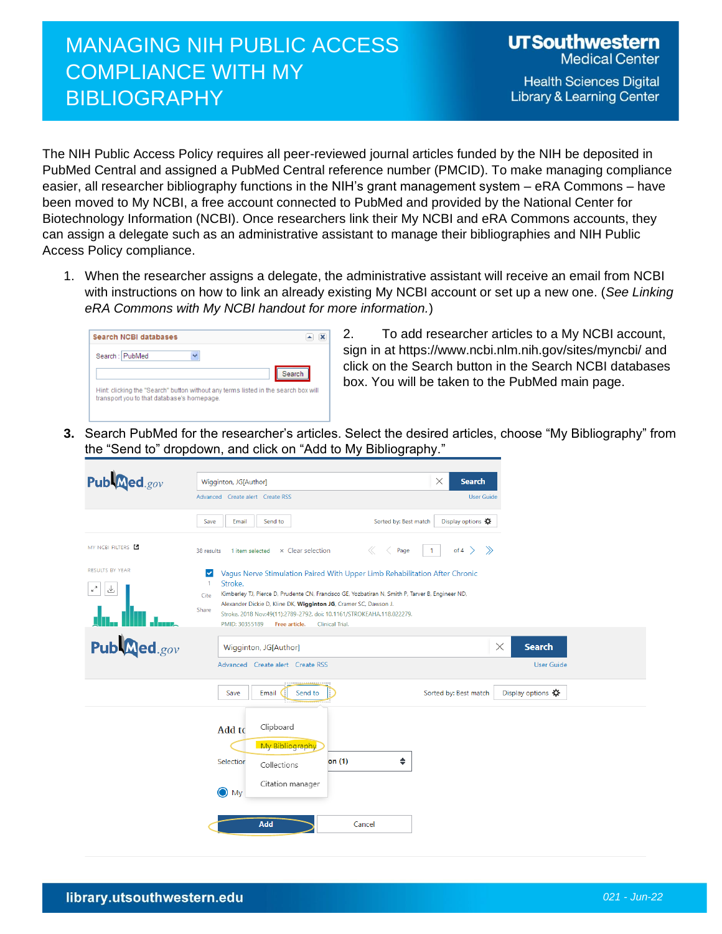## MANAGING NIH PUBLIC ACCESS COMPLIANCE WITH MY **BIBLIOGRAPHY**

**Health Sciences Digital Library & Learning Center** 

The NIH Public Access Policy requires all peer-reviewed journal articles funded by the NIH be deposited in PubMed Central and assigned a PubMed Central reference number (PMCID). To make managing compliance easier, all researcher bibliography functions in the NIH's grant management system – eRA Commons – have been moved to My NCBI, a free account connected to PubMed and provided by the National Center for Biotechnology Information (NCBI). Once researchers link their My NCBI and eRA Commons accounts, they can assign a delegate such as an administrative assistant to manage their bibliographies and NIH Public Access Policy compliance.

1. When the researcher assigns a delegate, the administrative assistant will receive an email from NCBI with instructions on how to link an already existing My NCBI account or set up a new one. (*See Linking eRA Commons with My NCBI handout for more information.*)

| Search NCBI databases |        |
|-----------------------|--------|
| Search: PubMed        |        |
|                       | Search |

2. To add researcher articles to a My NCBI account, sign in at https://www.ncbi.nlm.nih.gov/sites/myncbi/ and click on the Search button in the Search NCBI databases box. You will be taken to the PubMed main page.

**3.** Search PubMed for the researcher's articles. Select the desired articles, choose "My Bibliography" from the "Send to" dropdown, and click on "Add to My Bibliography."

| Publaned.gov                                           | $\times$<br><b>Search</b><br>Wigginton, JG[Author]                                                                                                                                                                                                                                                                                                                                                                                                    |
|--------------------------------------------------------|-------------------------------------------------------------------------------------------------------------------------------------------------------------------------------------------------------------------------------------------------------------------------------------------------------------------------------------------------------------------------------------------------------------------------------------------------------|
|                                                        | User Guide<br>Advanced Create alert Create RSS                                                                                                                                                                                                                                                                                                                                                                                                        |
|                                                        | Sorted by: Best match<br>Display options Q<br>Save<br>Email<br>Send to                                                                                                                                                                                                                                                                                                                                                                                |
| MY NCBI FILTERS E                                      | of 4 $\rightarrow$ $\rightarrow$<br>× Clear selection<br>$\ll$<br>Page<br>$\mathbf{1}$<br>1 item selected<br>38 results                                                                                                                                                                                                                                                                                                                               |
| <b>RESULTS BY YEAR</b><br>$\epsilon$ <sup>7</sup><br>圡 | Vagus Nerve Stimulation Paired With Upper Limb Rehabilitation After Chronic<br>$\checkmark$<br>Stroke.<br>$\mathbf{1}$<br>Kimberley TJ, Pierce D, Prudente CN, Francisco GE, Yozbatiran N, Smith P, Tarver B, Engineer ND,<br>Cite<br>Alexander Dickie D, Kline DK, Wigginton JG, Cramer SC, Dawson J.<br>Share<br>Stroke. 2018 Nov;49(11):2789-2792. doi: 10.1161/STROKEAHA.118.022279.<br>PMID: 30355189<br>Free article.<br><b>Clinical Trial.</b> |
| Publaned.gov                                           | $\times$<br><b>Search</b><br>Wigginton, JG[Author]<br>Advanced Create alert Create RSS<br><b>User Guide</b>                                                                                                                                                                                                                                                                                                                                           |
|                                                        | Sorted by: Best match<br>Display options Q<br>Email<br>Send to<br>Save                                                                                                                                                                                                                                                                                                                                                                                |
|                                                        | Clipboard<br>Add to<br>My Bibliography<br>$\div$<br>on $(1)$<br>Selection<br>Collections<br>Citation manager<br>$\bigcirc$ My                                                                                                                                                                                                                                                                                                                         |
|                                                        | Add<br>Cancel                                                                                                                                                                                                                                                                                                                                                                                                                                         |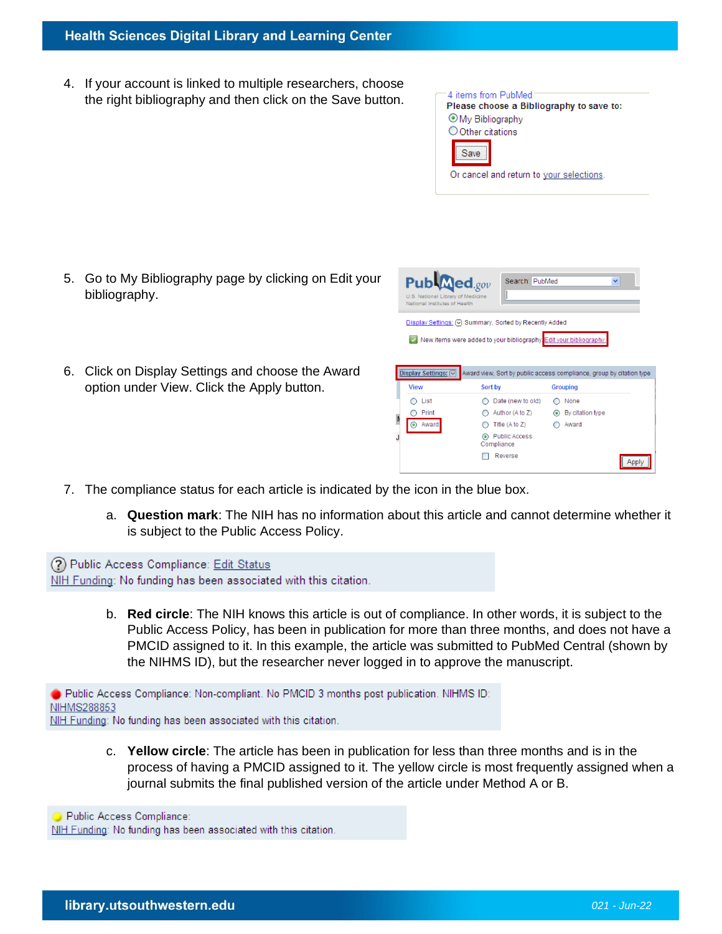## **Health Sciences Digital Library and Learning Center**

4. If your account is linked to multiple researchers, choose the right bibliography and then click on the Save button.



- 5. Go to My Bibliography page by clicking on Edit your bibliography.
- 6. Click on Display Settings and choose the Award option under View. Click the Apply button.

| $Pub$ <b>Med</b> .gov<br>U.S. National Library of Medicine<br>National Institutes of Health | Search: PubMed<br>Display Settings: $\lvert \nabla \rvert$ Summary, Sorted by Recently Added | $\checkmark$                                                         |
|---------------------------------------------------------------------------------------------|----------------------------------------------------------------------------------------------|----------------------------------------------------------------------|
| <b>Display Settings:</b>                                                                    | New items were added to your bibliography. Edit your bibliography.                           | Award view, Sort by public access compliance, group by citation type |
| <b>View</b>                                                                                 | Sort by                                                                                      | <b>Grouping</b>                                                      |
| List                                                                                        | Date (new to old)                                                                            | None                                                                 |
| Print                                                                                       | Author (A to Z)                                                                              | By citation type<br>◉                                                |
| Award<br>$\circ$                                                                            | Title (A to Z)                                                                               | Award                                                                |
|                                                                                             | <b>Public Access</b><br>Compliance                                                           |                                                                      |
|                                                                                             | Reverse                                                                                      |                                                                      |

- 7. The compliance status for each article is indicated by the icon in the blue box.
	- a. **Question mark**: The NIH has no information about this article and cannot determine whether it is subject to the Public Access Policy.

(?) Public Access Compliance: Edit Status NIH Funding: No funding has been associated with this citation.

> b. **Red circle**: The NIH knows this article is out of compliance. In other words, it is subject to the Public Access Policy, has been in publication for more than three months, and does not have a PMCID assigned to it. In this example, the article was submitted to PubMed Central (shown by the NIHMS ID), but the researcher never logged in to approve the manuscript.

Public Access Compliance: Non-compliant. No PMCID 3 months post publication. NIHMS ID: NIHMS288853 NIH Funding: No funding has been associated with this citation.

> c. **Yellow circle**: The article has been in publication for less than three months and is in the process of having a PMCID assigned to it. The yellow circle is most frequently assigned when a journal submits the final published version of the article under Method A or B.

Public Access Compliance: NIH Funding: No funding has been associated with this citation.